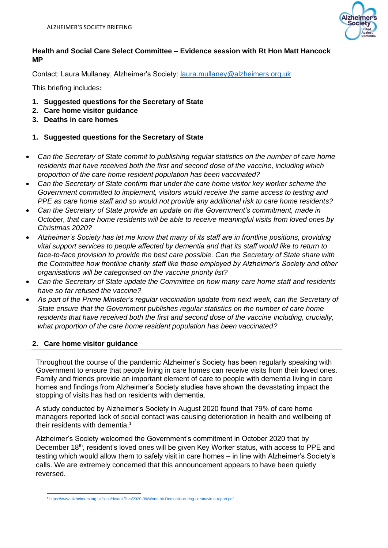

## **Health and Social Care Select Committee – Evidence session with Rt Hon Matt Hancock MP**

Contact: Laura Mullaney, Alzheimer's Society: [laura.mullaney@alzheimers.org.uk](mailto:laura.mullaney@alzheimers.org.uk)

This briefing includes**:**

- **1. Suggested questions for the Secretary of State**
- **2. Care home visitor guidance**
- **3. Deaths in care homes**

## **1. Suggested questions for the Secretary of State**

- *Can the Secretary of State commit to publishing regular statistics on the number of care home residents that have received both the first and second dose of the vaccine, including which proportion of the care home resident population has been vaccinated?*
- *Can the Secretary of State confirm that under the care home visitor key worker scheme the Government committed to implement, visitors would receive the same access to testing and PPE as care home staff and so would not provide any additional risk to care home residents?*
- *Can the Secretary of State provide an update on the Government's commitment, made in October, that care home residents will be able to receive meaningful visits from loved ones by Christmas 2020?*
- *Alzheimer's Society has let me know that many of its staff are in frontline positions, providing vital support services to people affected by dementia and that its staff would like to return to face-to-face provision to provide the best care possible. Can the Secretary of State share with the Committee how frontline charity staff like those employed by Alzheimer's Society and other organisations will be categorised on the vaccine priority list?*
- *Can the Secretary of State update the Committee on how many care home staff and residents have so far refused the vaccine?*
- *As part of the Prime Minister's regular vaccination update from next week, can the Secretary of State ensure that the Government publishes regular statistics on the number of care home residents that have received both the first and second dose of the vaccine including, crucially, what proportion of the care home resident population has been vaccinated?*

## **2. Care home visitor guidance**

Throughout the course of the pandemic Alzheimer's Society has been regularly speaking with Government to ensure that people living in care homes can receive visits from their loved ones. Family and friends provide an important element of care to people with dementia living in care homes and findings from Alzheimer's Society studies have shown the devastating impact the stopping of visits has had on residents with dementia.

A study conducted by Alzheimer's Society in August 2020 found that 79% of care home managers reported lack of social contact was causing deterioration in health and wellbeing of their residents with dementia.<sup>1</sup>

Alzheimer's Society welcomed the Government's commitment in October 2020 that by December 18<sup>th</sup>, resident's loved ones will be given Key Worker status, with access to PPE and testing which would allow them to safely visit in care homes – in line with Alzheimer's Society's calls. We are extremely concerned that this announcement appears to have been quietly reversed.

<sup>1</sup> <https://www.alzheimers.org.uk/sites/default/files/2020-09/Worst-hit-Dementia-during-coronavirus-report.pdf>